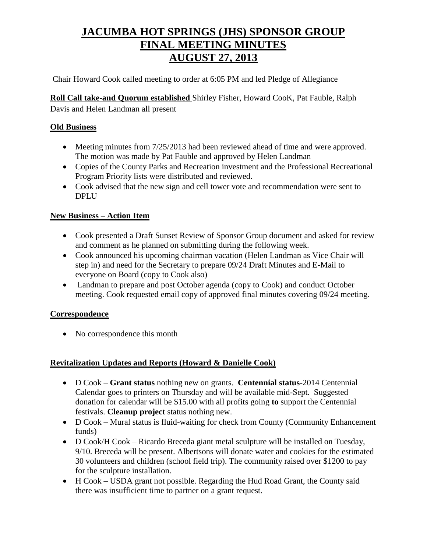# **JACUMBA HOT SPRINGS (JHS) SPONSOR GROUP FINAL MEETING MINUTES AUGUST 27, 2013**

Chair Howard Cook called meeting to order at 6:05 PM and led Pledge of Allegiance

**Roll Call take-and Quorum established** Shirley Fisher, Howard CooK, Pat Fauble, Ralph Davis and Helen Landman all present

### **Old Business**

- $\bullet$  Meeting minutes from 7/25/2013 had been reviewed ahead of time and were approved. The motion was made by Pat Fauble and approved by Helen Landman
- Copies of the County Parks and Recreation investment and the Professional Recreational Program Priority lists were distributed and reviewed.
- Cook advised that the new sign and cell tower vote and recommendation were sent to DPLU

### **New Business – Action Item**

- Cook presented a Draft Sunset Review of Sponsor Group document and asked for review and comment as he planned on submitting during the following week.
- Cook announced his upcoming chairman vacation (Helen Landman as Vice Chair will step in) and need for the Secretary to prepare 09/24 Draft Minutes and E-Mail to everyone on Board (copy to Cook also)
- Landman to prepare and post October agenda (copy to Cook) and conduct October meeting. Cook requested email copy of approved final minutes covering 09/24 meeting.

## **Correspondence**

• No correspondence this month

#### **Revitalization Updates and Reports (Howard & Danielle Cook)**

- D Cook **Grant status** nothing new on grants. **Centennial status**-2014 Centennial Calendar goes to printers on Thursday and will be available mid-Sept. Suggested donation for calendar will be \$15.00 with all profits going **to** support the Centennial festivals. **Cleanup project** status nothing new.
- D Cook Mural status is fluid-waiting for check from County (Community Enhancement funds)
- D Cook/H Cook Ricardo Breceda giant metal sculpture will be installed on Tuesday, 9/10. Breceda will be present. Albertsons will donate water and cookies for the estimated 30 volunteers and children (school field trip). The community raised over \$1200 to pay for the sculpture installation.
- H Cook USDA grant not possible. Regarding the Hud Road Grant, the County said there was insufficient time to partner on a grant request.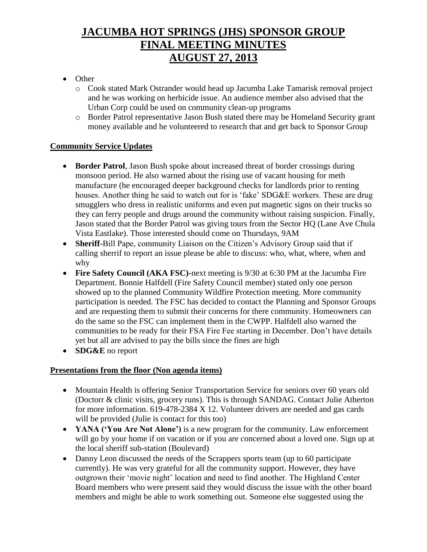# **JACUMBA HOT SPRINGS (JHS) SPONSOR GROUP FINAL MEETING MINUTES AUGUST 27, 2013**

- Other
	- o Cook stated Mark Ostrander would head up Jacumba Lake Tamarisk removal project and he was working on herbicide issue. An audience member also advised that the Urban Corp could be used on community clean-up programs
	- o Border Patrol representative Jason Bush stated there may be Homeland Security grant money available and he volunteered to research that and get back to Sponsor Group

## **Community Service Updates**

- **Border Patrol**, Jason Bush spoke about increased threat of border crossings during monsoon period. He also warned about the rising use of vacant housing for meth manufacture (he encouraged deeper background checks for landlords prior to renting houses. Another thing he said to watch out for is 'fake' SDG&E workers. These are drug smugglers who dress in realistic uniforms and even put magnetic signs on their trucks so they can ferry people and drugs around the community without raising suspicion. Finally, Jason stated that the Border Patrol was giving tours from the Sector HQ (Lane Ave Chula Vista Eastlake). Those interested should come on Thursdays, 9AM
- **Sheriff-**Bill Pape, community Liaison on the Citizen's Advisory Group said that if calling sherrif to report an issue please be able to discuss: who, what, where, when and why
- **Fire Safety Council (AKA FSC)-**next meeting is 9/30 at 6:30 PM at the Jacumba Fire Department. Bonnie Halfdell (Fire Safety Council member) stated only one person showed up to the planned Community Wildfire Protection meeting. More community participation is needed. The FSC has decided to contact the Planning and Sponsor Groups and are requesting them to submit their concerns for there community. Homeowners can do the same so the FSC can implement them in the CWPP. Halfdell also warned the communities to be ready for their FSA Fire Fee starting in December. Don't have details yet but all are advised to pay the bills since the fines are high
- **SDG&E** no report

#### **Presentations from the floor (Non agenda items)**

- Mountain Health is offering Senior Transportation Service for seniors over 60 years old (Doctorr & clinic visits, grocery runs). This is through SANDAG. Contact Julie Atherton for more information. 619-478-2384 X 12. Volunteer drivers are needed and gas cards will be provided (Julie is contact for this too)
- **YANA ('You Are Not Alone')** is a new program for the community. Law enforcement will go by your home if on vacation or if you are concerned about a loved one. Sign up at the local sheriff sub-station (Boulevard)
- Danny Leon discussed the needs of the Scrappers sports team (up to 60 participate currently). He was very grateful for all the community support. However, they have outgrown their 'movie night' location and need to find another. The Highland Center Board members who were present said they would discuss the issue with the other board members and might be able to work something out. Someone else suggested using the